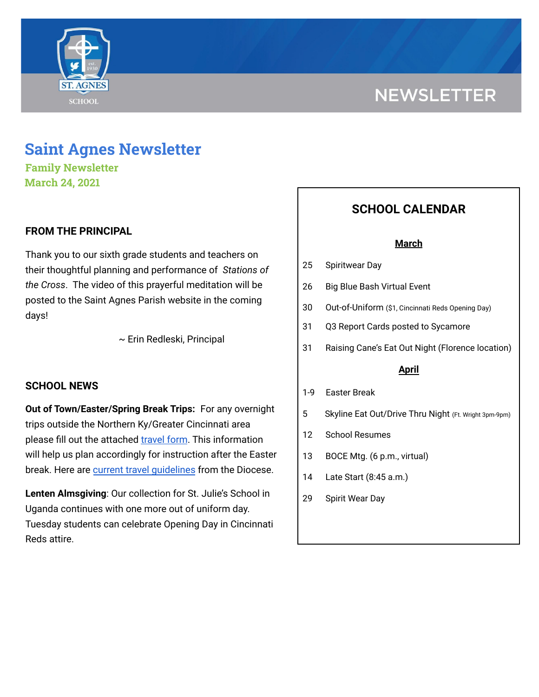

# **NEWSLETTER**

# **Saint Agnes Newsletter**

**Family Newsletter March 24, 2021**

# **FROM THE PRINCIPAL**

Thank you to our sixth grade students and teachers on their thoughtful planning and performance of *Stations of the Cross*. The video of this prayerful meditation will be posted to the Saint Agnes Parish website in the coming days!

~ Erin Redleski, Principal

# **SCHOOL NEWS**

**Out of Town/Easter/Spring Break Trips:** For any overnight trips outside the Northern Ky/Greater Cincinnati area please fill out the attached [travel](https://docs.google.com/forms/d/1G4JmfFWk29Sxg_3O81r5EB0F7IYJyTofEAGJ9wd5aO4/edit?ts=5f985dbb&gxids=7628) form. This information will help us plan accordingly for instruction after the Easter break. Here are current travel [guidelines](https://school.saintagnes.com/wp-content/uploads/2021/03/Travel-Quarentine-Update-1.22.21.pdf) from the Diocese.

**Lenten Almsgiving**: Our collection for St. Julie's School in Uganda continues with one more out of uniform day. Tuesday students can celebrate Opening Day in Cincinnati Reds attire.

# **SCHOOL CALENDAR**

#### **March**

- 25 Spiritwear Day
- 26 Big Blue Bash Virtual Event
- 30 Out-of-Uniform (\$1, Cincinnati Reds Opening Day)
- 31 Q3 Report Cards posted to Sycamore
- 31 Raising Cane's Eat Out Night (Florence location)

### **April**

- 1-9 Easter Break
- 5 Skyline Eat Out/Drive Thru Night (Ft. Wright 3pm-9pm)
- 12 School Resumes
- 13 BOCE Mtg. (6 p.m., virtual)
- 14 Late Start (8:45 a.m.)
- 29 Spirit Wear Day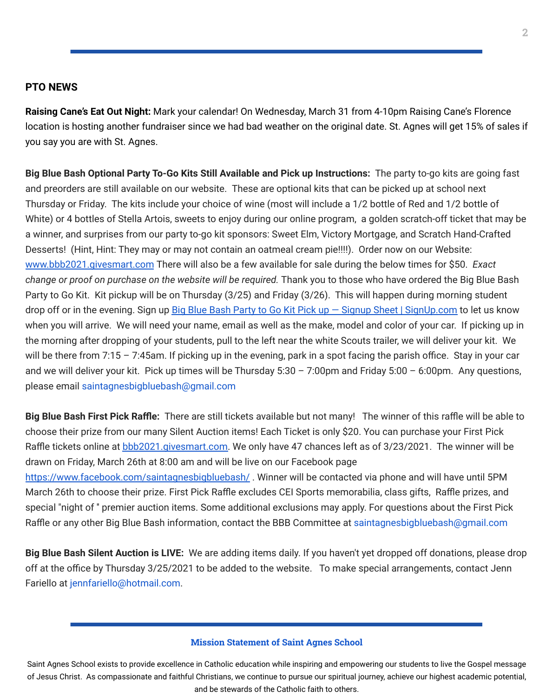#### **PTO NEWS**

**Raising Cane's Eat Out Night:** Mark your calendar! On Wednesday, March 31 from 4-10pm Raising Cane's Florence location is hosting another fundraiser since we had bad weather on the original date. St. Agnes will get 15% of sales if you say you are with St. Agnes.

**Big Blue Bash Optional Party To-Go Kits Still Available and Pick up Instructions:** The party to-go kits are going fast and preorders are still available on our website. These are optional kits that can be picked up at school next Thursday or Friday. The kits include your choice of wine (most will include a 1/2 bottle of Red and 1/2 bottle of White) or 4 bottles of Stella Artois, sweets to enjoy during our online program, a golden scratch-off ticket that may be a winner, and surprises from our party to-go kit sponsors: Sweet Elm, Victory Mortgage, and Scratch Hand-Crafted Desserts! (Hint, Hint: They may or may not contain an oatmeal cream pie!!!!). Order now on our Website: [www.bbb2021.givesmart.com](http://www.bbb2021.givesmart.com/) There will also be a few available for sale during the below times for \$50. *Exact change or proof on purchase on the website will be required.* Thank you to those who have ordered the Big Blue Bash Party to Go Kit. Kit pickup will be on Thursday (3/25) and Friday (3/26). This will happen during morning student drop off or in the evening. Sign up Big Blue Bash Party to Go Kit Pick up - Signup Sheet | [SignUp.com](https://signup.com/client/invitation2/secure/1038511976081/false#/invitation) to let us know when you will arrive. We will need your name, email as well as the make, model and color of your car. If picking up in the morning after dropping of your students, pull to the left near the white Scouts trailer, we will deliver your kit. We will be there from 7:15 – 7:45am. If picking up in the evening, park in a spot facing the parish office. Stay in your car and we will deliver your kit. Pick up times will be Thursday 5:30 – 7:00pm and Friday 5:00 – 6:00pm. Any questions, please email saintagnesbigbluebash@gmail.com

**Big Blue Bash First Pick Raffle:** There are still tickets available but not many! The winner of this raffle will be able to choose their prize from our many Silent Auction items! Each Ticket is only \$20. You can purchase your First Pick Raffle tickets online at **[bbb2021.givesmart.com.](http://bbb2021.givesmart.com/)** We only have 47 chances left as of 3/23/2021. The winner will be drawn on Friday, March 26th at 8:00 am and will be live on our Facebook page

<https://www.facebook.com/saintagnesbigbluebash/>. Winner will be contacted via phone and will have until 5PM March 26th to choose their prize. First Pick Raffle excludes CEI Sports memorabilia, class gifts, Raffle prizes, and special "night of '' premier auction items. Some additional exclusions may apply. For questions about the First Pick Raffle or any other Big Blue Bash information, contact the BBB Committee at saintagnesbigbluebash@gmail.com

**Big Blue Bash Silent Auction is LIVE:** We are adding items daily. If you haven't yet dropped off donations, please drop off at the office by Thursday 3/25/2021 to be added to the website. To make special arrangements, contact Jenn Fariello at jennfariello@hotmail.com.

#### **Mission Statement of Saint Agnes School**

Saint Agnes School exists to provide excellence in Catholic education while inspiring and empowering our students to live the Gospel message of Jesus Christ. As compassionate and faithful Christians, we continue to pursue our spiritual journey, achieve our highest academic potential, and be stewards of the Catholic faith to others.